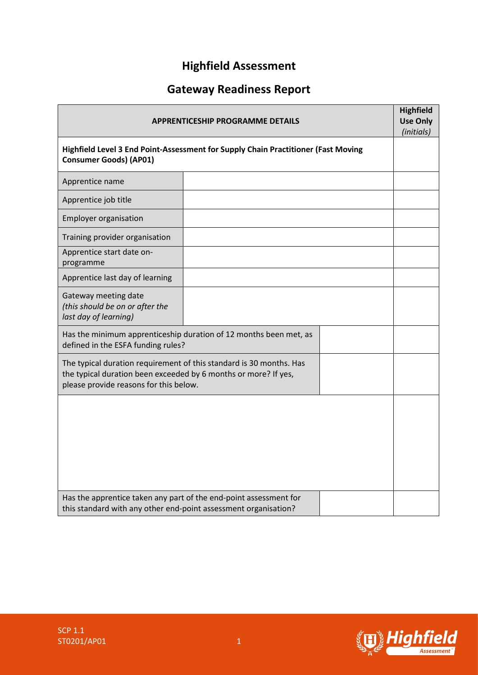# **Highfield Assessment**

# **Gateway Readiness Report**

| <b>APPRENTICESHIP PROGRAMME DETAILS</b><br>Highfield Level 3 End Point-Assessment for Supply Chain Practitioner (Fast Moving<br><b>Consumer Goods) (AP01)</b>                    |  |  |  |
|----------------------------------------------------------------------------------------------------------------------------------------------------------------------------------|--|--|--|
|                                                                                                                                                                                  |  |  |  |
| Apprentice job title                                                                                                                                                             |  |  |  |
| <b>Employer organisation</b>                                                                                                                                                     |  |  |  |
| Training provider organisation                                                                                                                                                   |  |  |  |
| Apprentice start date on-<br>programme                                                                                                                                           |  |  |  |
| Apprentice last day of learning                                                                                                                                                  |  |  |  |
| Gateway meeting date<br>(this should be on or after the<br>last day of learning)                                                                                                 |  |  |  |
| Has the minimum apprenticeship duration of 12 months been met, as<br>defined in the ESFA funding rules?                                                                          |  |  |  |
| The typical duration requirement of this standard is 30 months. Has<br>the typical duration been exceeded by 6 months or more? If yes,<br>please provide reasons for this below. |  |  |  |
|                                                                                                                                                                                  |  |  |  |
| Has the apprentice taken any part of the end-point assessment for<br>this standard with any other end-point assessment organisation?                                             |  |  |  |

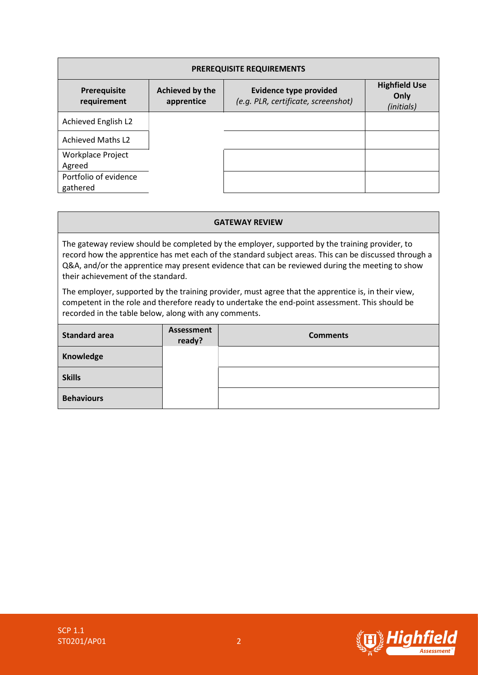| <b>PREREQUISITE REQUIREMENTS</b>   |                               |                                                                      |                                            |  |  |  |
|------------------------------------|-------------------------------|----------------------------------------------------------------------|--------------------------------------------|--|--|--|
| Prerequisite<br>requirement        | Achieved by the<br>apprentice | <b>Evidence type provided</b><br>(e.g. PLR, certificate, screenshot) | <b>Highfield Use</b><br>Only<br>(initials) |  |  |  |
| Achieved English L2                |                               |                                                                      |                                            |  |  |  |
| <b>Achieved Maths L2</b>           |                               |                                                                      |                                            |  |  |  |
| <b>Workplace Project</b><br>Agreed |                               |                                                                      |                                            |  |  |  |
| Portfolio of evidence<br>gathered  |                               |                                                                      |                                            |  |  |  |

#### **GATEWAY REVIEW**

The gateway review should be completed by the employer, supported by the training provider, to record how the apprentice has met each of the standard subject areas. This can be discussed through a Q&A, and/or the apprentice may present evidence that can be reviewed during the meeting to show their achievement of the standard.

The employer, supported by the training provider, must agree that the apprentice is, in their view, competent in the role and therefore ready to undertake the end-point assessment. This should be recorded in the table below, along with any comments.

| <b>Standard area</b> | Assessment<br>ready? | <b>Comments</b> |  |
|----------------------|----------------------|-----------------|--|
| Knowledge            |                      |                 |  |
| <b>Skills</b>        |                      |                 |  |
| <b>Behaviours</b>    |                      |                 |  |